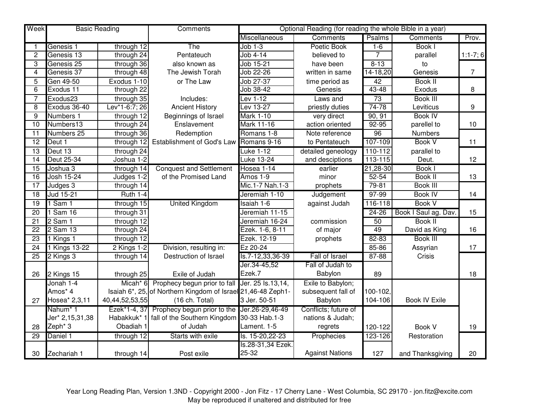| Week            | <b>Basic Reading</b> |                      | <b>Comments</b>                                               | Optional Reading (for reading the whole Bible in a year) |                        |               |                      |                |
|-----------------|----------------------|----------------------|---------------------------------------------------------------|----------------------------------------------------------|------------------------|---------------|----------------------|----------------|
|                 |                      |                      |                                                               | Miscellaneous                                            | <b>Comments</b>        | <b>Psalms</b> | Comments             | Prov.          |
| 1               | Genesis 1            | through 12           | The                                                           | $Job 1-3$                                                | Poetic Book            | $1-6$         | Book I               |                |
| $\overline{c}$  | Genesis 13           | through 24           | Pentateuch                                                    | Job $\overline{4-14}$                                    | believed to            | 7             | parallel             | $1:1-7;6$      |
| 3               | Genesis 25           | through 36           | also known as                                                 | Job 15-21                                                | have been              | $8 - 13$      | to                   |                |
| $\overline{4}$  | Genesis 37           | through 48           | The Jewish Torah                                              | Job 22-26                                                | written in same        | $14 - 18,20$  | Genesis              | $\overline{7}$ |
| 5               | Gen 49-50            | Exodus 1-10          | or The Law                                                    | Job 27-37                                                | time period as         | 42            | <b>Book II</b>       |                |
| $\overline{6}$  | Exodus 11            | through 22           |                                                               | Job 38-42                                                | Genesis                | $43 - 48$     | Exodus               | 8              |
| 7               | Exodus23             | through 35           | Includes:                                                     | Lev 1-12                                                 | Laws and               | 73            | <b>Book III</b>      |                |
| 8               | Exodus 36-40         | Lev*1-6:7; 26        | <b>Ancient History</b>                                        | Lev 13-27                                                | priestly duties        | 74-78         | Leviticus            | 9              |
| 9               | Numbers 1            | through 12           | Beginnings of Israel                                          | <b>Mark 1-10</b>                                         | very direct            | 90, 91        | <b>Book IV</b>       |                |
| 10              | Numbers13            | through 24           | Enslavement                                                   | <b>Mark 11-16</b>                                        | action oriented        | $92 - 95$     | parellel to          | 10             |
| $\overline{11}$ | Numbers 25           | through 36           | Redemption                                                    | Romans 1-8                                               | Note reference         | 96            | Numbers              |                |
| $\overline{12}$ | Deut 1               | through 12           | Establishment of God's Law Romans 9-16                        |                                                          | to Pentateuch          | 107-109       | <b>Book V</b>        | 11             |
| 13              | Deut 13              | through 24           |                                                               | <b>Luke 1-12</b>                                         | detailed geneology     | $110-112$     | parallel to          |                |
| $\overline{14}$ | Deut 25-34           | Joshua 1-2           |                                                               | <b>Luke 13-24</b>                                        | and desciptions        | 113-115       | Deut.                | 12             |
| $\overline{15}$ | Joshua 3             | through 14           | <b>Conquest and Settlement</b>                                | Hosea 1-14                                               | earlier                | 21,28-30      | Book I               |                |
| $\overline{16}$ | Josh 15-24           | Judges 1-2           | of the Promised Land                                          | Amos 1-9                                                 | minor                  | $52 - 54$     | <b>Book II</b>       | 13             |
| 17              | Judges 3             | through 14           |                                                               | Mic.1-7 Nah.1-3                                          | prophets               | $79 - 81$     | Book III             |                |
| $\overline{18}$ | Jud 15-21            | <b>Ruth 1-4</b>      |                                                               | Jeremiah 1-10                                            | Judgement              | $97-99$       | <b>Book IV</b>       | 14             |
| $\overline{19}$ | $1$ Sam $1$          | through 15           | <b>United Kingdom</b>                                         | Isaiah 1-6                                               | against Judah          | 116-118       | <b>Book V</b>        |                |
| $\overline{20}$ | Sam 16               | through 31           |                                                               | Jeremiah 11-15                                           |                        | $24 - 26$     | Book I Saul ag. Dav. | 15             |
| 21              | $2$ Sam 1            | through 12           |                                                               | Jeremiah 16-24                                           | commission             | 50            | <b>Book II</b>       |                |
| $\overline{22}$ | 2 Sam 13             | through 24           |                                                               | Ezek. 1-6, 8-11                                          | of major               | 49            | David as King        | 16             |
| 23              | Kings 1              | through 12           |                                                               | Ezek. 12-19                                              | prophets               | $82 - 83$     | Book III             |                |
| 24              | 1 Kings 13-22        | 2 Kings 1-2          | Division, resulting in:                                       | Ez 20-24                                                 |                        | 85-86         | Assyrian             | 17             |
| $\overline{25}$ | 2 Kings 3            | through 14           | Destruction of Israel                                         | ls.7-12,33,36-39                                         | Fall of Israel         | 87-88         | Crisis               |                |
|                 |                      |                      |                                                               | Jer.34-45,52                                             | Fall of Judah to       |               |                      |                |
| 26              | 2 Kings 15           | through 25           | Exile of Judah                                                | Ezek.7                                                   | Babylon                | 89            |                      | 18             |
|                 | Jonah 1-4            | Micah <sup>*</sup> 6 | Prophecy begun prior to fall                                  | Jer. 25 ls.13,14,                                        | Exile to Babylon;      |               |                      |                |
|                 | Amos* 4              |                      | Isaiah 6*, 25, of Northern Kingdom of Israel 21, 46-48 Zeph1- |                                                          | subsequent fall of     | 100-102.      |                      |                |
| 27              | Hosea* 2,3,11        | 40,44,52,53,55       | (16 ch. Total)                                                | 3 Jer. 50-51                                             | Babylon                | 104-106       | <b>Book IV Exile</b> |                |
|                 | Nahum <sup>*</sup> 1 |                      | Ezek*1-4, 37 Prophecy begun prior to the Uer.26-29,46-49      |                                                          | Conflicts; future of   |               |                      |                |
|                 | Jer* 2,15,31,38      | Habakkuk* 1          | fall of the Southern Kingdom 30-33 Hab.1-3                    |                                                          | nations & Judah;       |               |                      |                |
| 28              | Zeph <sup>*</sup> 3  | Obadiah 1            | of Judah                                                      | Lament. 1-5                                              | regrets                | 120-122       | Book V               | 19             |
| 29              | Daniel 1             | through 12           | Starts with exile                                             | Is. 15-20, 22-23                                         | Prophecies             | 123-126       | Restoration          |                |
|                 |                      |                      |                                                               | Is.28-31,34 Ezek.                                        |                        |               |                      |                |
| 30              | Zechariah 1          | through 14           | Post exile                                                    | 25-32                                                    | <b>Against Nations</b> | 127           | and Thanksgiving     | 20             |

Year Long Reading Plan, Version 1.3ND - Copyright 2000 - Jon Fitz - 17 Cherry Lane - West Columbia, SC 29170 - jon.fitz@excite.com May be reproduced if unaltered and distributed for free